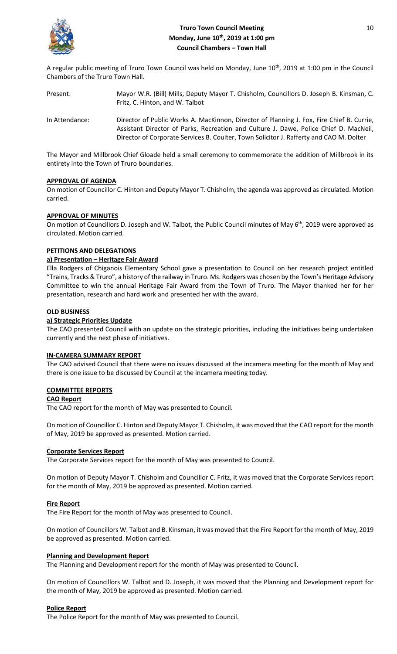

# **Truro Town Council Meeting** 10 **Monday, June 10th, 2019 at 1:00 pm Council Chambers – Town Hall**

A regular public meeting of Truro Town Council was held on Monday, June 10<sup>th</sup>, 2019 at 1:00 pm in the Council Chambers of the Truro Town Hall.

| Present:       | Mayor W.R. (Bill) Mills, Deputy Mayor T. Chisholm, Councillors D. Joseph B. Kinsman, C.<br>Fritz, C. Hinton, and W. Talbot                                                                                                                                                    |
|----------------|-------------------------------------------------------------------------------------------------------------------------------------------------------------------------------------------------------------------------------------------------------------------------------|
| In Attendance: | Director of Public Works A. MacKinnon, Director of Planning J. Fox, Fire Chief B. Currie,<br>Assistant Director of Parks, Recreation and Culture J. Dawe, Police Chief D. MacNeil,<br>Director of Corporate Services B. Coulter, Town Solicitor J. Rafferty and CAO M. Dolter |

The Mayor and Millbrook Chief Gloade held a small ceremony to commemorate the addition of Millbrook in its entirety into the Town of Truro boundaries.

# **APPROVAL OF AGENDA**

On motion of Councillor C. Hinton and Deputy Mayor T. Chisholm, the agenda was approved as circulated. Motion carried.

# **APPROVAL OF MINUTES**

On motion of Councillors D. Joseph and W. Talbot, the Public Council minutes of May 6<sup>th</sup>, 2019 were approved as circulated. Motion carried.

### **PETITIONS AND DELEGATIONS**

### **a) Presentation – Heritage Fair Award**

Ella Rodgers of Chiganois Elementary School gave a presentation to Council on her research project entitled "Trains, Tracks & Truro", a history of the railway in Truro. Ms. Rodgers was chosen by the Town's Heritage Advisory Committee to win the annual Heritage Fair Award from the Town of Truro. The Mayor thanked her for her presentation, research and hard work and presented her with the award.

### **OLD BUSINESS**

### **a) Strategic Priorities Update**

The CAO presented Council with an update on the strategic priorities, including the initiatives being undertaken currently and the next phase of initiatives.

#### **IN-CAMERA SUMMARY REPORT**

The CAO advised Council that there were no issues discussed at the incamera meeting for the month of May and there is one issue to be discussed by Council at the incamera meeting today.

# **COMMITTEE REPORTS**

#### **CAO Report**

The CAO report for the month of May was presented to Council.

On motion of Councillor C. Hinton and Deputy Mayor T. Chisholm, it was moved that the CAO report for the month of May, 2019 be approved as presented. Motion carried.

#### **Corporate Services Report**

The Corporate Services report for the month of May was presented to Council.

On motion of Deputy Mayor T. Chisholm and Councillor C. Fritz, it was moved that the Corporate Services report for the month of May, 2019 be approved as presented. Motion carried.

#### **Fire Report**

The Fire Report for the month of May was presented to Council.

On motion of Councillors W. Talbot and B. Kinsman, it was moved that the Fire Report for the month of May, 2019 be approved as presented. Motion carried.

#### **Planning and Development Report**

The Planning and Development report for the month of May was presented to Council.

On motion of Councillors W. Talbot and D. Joseph, it was moved that the Planning and Development report for the month of May, 2019 be approved as presented. Motion carried.

#### **Police Report**

The Police Report for the month of May was presented to Council.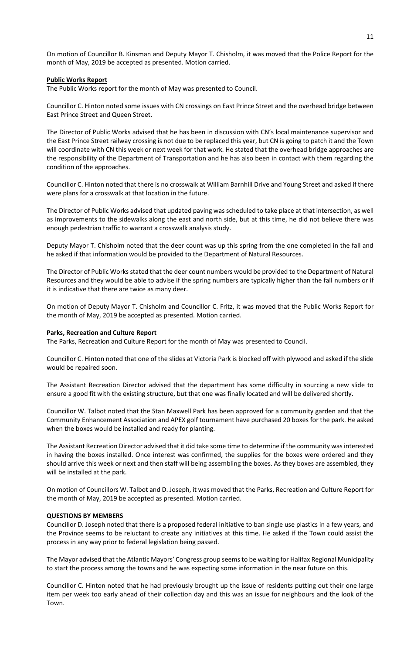On motion of Councillor B. Kinsman and Deputy Mayor T. Chisholm, it was moved that the Police Report for the month of May, 2019 be accepted as presented. Motion carried.

### **Public Works Report**

The Public Works report for the month of May was presented to Council.

Councillor C. Hinton noted some issues with CN crossings on East Prince Street and the overhead bridge between East Prince Street and Queen Street.

The Director of Public Works advised that he has been in discussion with CN's local maintenance supervisor and the East Prince Street railway crossing is not due to be replaced this year, but CN is going to patch it and the Town will coordinate with CN this week or next week for that work. He stated that the overhead bridge approaches are the responsibility of the Department of Transportation and he has also been in contact with them regarding the condition of the approaches.

Councillor C. Hinton noted that there is no crosswalk at William Barnhill Drive and Young Street and asked if there were plans for a crosswalk at that location in the future.

The Director of Public Works advised that updated paving was scheduled to take place at that intersection, as well as improvements to the sidewalks along the east and north side, but at this time, he did not believe there was enough pedestrian traffic to warrant a crosswalk analysis study.

Deputy Mayor T. Chisholm noted that the deer count was up this spring from the one completed in the fall and he asked if that information would be provided to the Department of Natural Resources.

The Director of Public Works stated that the deer count numbers would be provided to the Department of Natural Resources and they would be able to advise if the spring numbers are typically higher than the fall numbers or if it is indicative that there are twice as many deer.

On motion of Deputy Mayor T. Chisholm and Councillor C. Fritz, it was moved that the Public Works Report for the month of May, 2019 be accepted as presented. Motion carried.

#### **Parks, Recreation and Culture Report**

The Parks, Recreation and Culture Report for the month of May was presented to Council.

Councillor C. Hinton noted that one of the slides at Victoria Park is blocked off with plywood and asked if the slide would be repaired soon.

The Assistant Recreation Director advised that the department has some difficulty in sourcing a new slide to ensure a good fit with the existing structure, but that one was finally located and will be delivered shortly.

Councillor W. Talbot noted that the Stan Maxwell Park has been approved for a community garden and that the Community Enhancement Association and APEX golf tournament have purchased 20 boxes for the park. He asked when the boxes would be installed and ready for planting.

The Assistant Recreation Director advised that it did take some time to determine if the community was interested in having the boxes installed. Once interest was confirmed, the supplies for the boxes were ordered and they should arrive this week or next and then staff will being assembling the boxes. As they boxes are assembled, they will be installed at the park.

On motion of Councillors W. Talbot and D. Joseph, it was moved that the Parks, Recreation and Culture Report for the month of May, 2019 be accepted as presented. Motion carried.

#### **QUESTIONS BY MEMBERS**

Councillor D. Joseph noted that there is a proposed federal initiative to ban single use plastics in a few years, and the Province seems to be reluctant to create any initiatives at this time. He asked if the Town could assist the process in any way prior to federal legislation being passed.

The Mayor advised that the Atlantic Mayors' Congress group seems to be waiting for Halifax Regional Municipality to start the process among the towns and he was expecting some information in the near future on this.

Councillor C. Hinton noted that he had previously brought up the issue of residents putting out their one large item per week too early ahead of their collection day and this was an issue for neighbours and the look of the Town.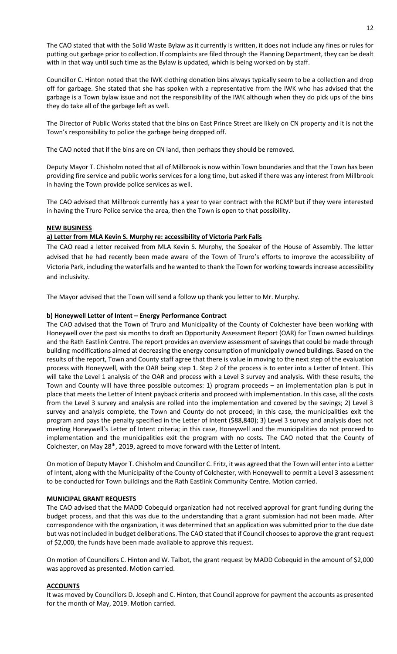The CAO stated that with the Solid Waste Bylaw as it currently is written, it does not include any fines or rules for putting out garbage prior to collection. If complaints are filed through the Planning Department, they can be dealt with in that way until such time as the Bylaw is updated, which is being worked on by staff.

Councillor C. Hinton noted that the IWK clothing donation bins always typically seem to be a collection and drop off for garbage. She stated that she has spoken with a representative from the IWK who has advised that the garbage is a Town bylaw issue and not the responsibility of the IWK although when they do pick ups of the bins they do take all of the garbage left as well.

The Director of Public Works stated that the bins on East Prince Street are likely on CN property and it is not the Town's responsibility to police the garbage being dropped off.

The CAO noted that if the bins are on CN land, then perhaps they should be removed.

Deputy Mayor T. Chisholm noted that all of Millbrook is now within Town boundaries and that the Town has been providing fire service and public works services for a long time, but asked if there was any interest from Millbrook in having the Town provide police services as well.

The CAO advised that Millbrook currently has a year to year contract with the RCMP but if they were interested in having the Truro Police service the area, then the Town is open to that possibility.

# **NEW BUSINESS**

# **a) Letter from MLA Kevin S. Murphy re: accessibility of Victoria Park Falls**

The CAO read a letter received from MLA Kevin S. Murphy, the Speaker of the House of Assembly. The letter advised that he had recently been made aware of the Town of Truro's efforts to improve the accessibility of Victoria Park, including the waterfalls and he wanted to thank the Town for working towards increase accessibility and inclusivity.

The Mayor advised that the Town will send a follow up thank you letter to Mr. Murphy.

# **b) Honeywell Letter of Intent – Energy Performance Contract**

The CAO advised that the Town of Truro and Municipality of the County of Colchester have been working with Honeywell over the past six months to draft an Opportunity Assessment Report (OAR) for Town owned buildings and the Rath Eastlink Centre. The report provides an overview assessment of savings that could be made through building modifications aimed at decreasing the energy consumption of municipally owned buildings. Based on the results of the report, Town and County staff agree that there is value in moving to the next step of the evaluation process with Honeywell, with the OAR being step 1. Step 2 of the process is to enter into a Letter of Intent. This will take the Level 1 analysis of the OAR and process with a Level 3 survey and analysis. With these results, the Town and County will have three possible outcomes: 1) program proceeds – an implementation plan is put in place that meets the Letter of Intent payback criteria and proceed with implementation. In this case, all the costs from the Level 3 survey and analysis are rolled into the implementation and covered by the savings; 2) Level 3 survey and analysis complete, the Town and County do not proceed; in this case, the municipalities exit the program and pays the penalty specified in the Letter of Intent (\$88,840); 3) Level 3 survey and analysis does not meeting Honeywell's Letter of Intent criteria; in this case, Honeywell and the municipalities do not proceed to implementation and the municipalities exit the program with no costs. The CAO noted that the County of Colchester, on May 28<sup>th</sup>, 2019, agreed to move forward with the Letter of Intent.

On motion of Deputy Mayor T. Chisholm and Councillor C. Fritz, it was agreed that the Town will enter into a Letter of Intent, along with the Municipality of the County of Colchester, with Honeywell to permit a Level 3 assessment to be conducted for Town buildings and the Rath Eastlink Community Centre. Motion carried.

# **MUNICIPAL GRANT REQUESTS**

The CAO advised that the MADD Cobequid organization had not received approval for grant funding during the budget process, and that this was due to the understanding that a grant submission had not been made. After correspondence with the organization, it was determined that an application was submitted prior to the due date but was not included in budget deliberations. The CAO stated that if Council chooses to approve the grant request of \$2,000, the funds have been made available to approve this request.

On motion of Councillors C. Hinton and W. Talbot, the grant request by MADD Cobequid in the amount of \$2,000 was approved as presented. Motion carried.

# **ACCOUNTS**

It was moved by Councillors D. Joseph and C. Hinton, that Council approve for payment the accounts as presented for the month of May, 2019. Motion carried.